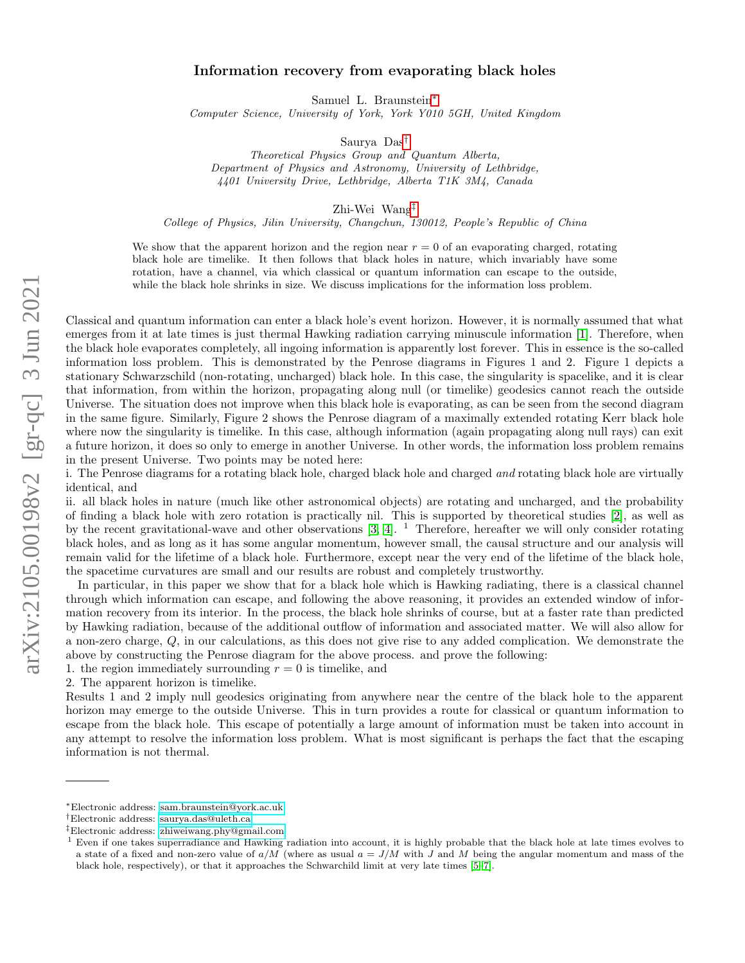# Information recovery from evaporating black holes

Samuel L. Braunstein[∗](#page-0-0)

Computer Science, University of York, York Y010 5GH, United Kingdom

Saurya Das[†](#page-0-1)

Theoretical Physics Group and Quantum Alberta, Department of Physics and Astronomy, University of Lethbridge, 4401 University Drive, Lethbridge, Alberta T1K 3M4, Canada

Zhi-Wei Wang[‡](#page-0-2)

College of Physics, Jilin University, Changchun, 130012, People's Republic of China

We show that the apparent horizon and the region near  $r = 0$  of an evaporating charged, rotating black hole are timelike. It then follows that black holes in nature, which invariably have some rotation, have a channel, via which classical or quantum information can escape to the outside, while the black hole shrinks in size. We discuss implications for the information loss problem.

Classical and quantum information can enter a black hole's event horizon. However, it is normally assumed that what emerges from it at late times is just thermal Hawking radiation carrying minuscule information [\[1\]](#page-3-0). Therefore, when the black hole evaporates completely, all ingoing information is apparently lost forever. This in essence is the so-called information loss problem. This is demonstrated by the Penrose diagrams in Figures 1 and 2. Figure 1 depicts a stationary Schwarzschild (non-rotating, uncharged) black hole. In this case, the singularity is spacelike, and it is clear that information, from within the horizon, propagating along null (or timelike) geodesics cannot reach the outside Universe. The situation does not improve when this black hole is evaporating, as can be seen from the second diagram in the same figure. Similarly, Figure 2 shows the Penrose diagram of a maximally extended rotating Kerr black hole where now the singularity is timelike. In this case, although information (again propagating along null rays) can exit a future horizon, it does so only to emerge in another Universe. In other words, the information loss problem remains in the present Universe. Two points may be noted here:

i. The Penrose diagrams for a rotating black hole, charged black hole and charged and rotating black hole are virtually identical, and

ii. all black holes in nature (much like other astronomical objects) are rotating and uncharged, and the probability of finding a black hole with zero rotation is practically nil. This is supported by theoretical studies [\[2\]](#page-3-1), as well as by the recent gravitational-wave and other observations  $[3, 4]$  $[3, 4]$ . <sup>1</sup> Therefore, hereafter we will only consider rotating black holes, and as long as it has some angular momentum, however small, the causal structure and our analysis will remain valid for the lifetime of a black hole. Furthermore, except near the very end of the lifetime of the black hole, the spacetime curvatures are small and our results are robust and completely trustworthy.

In particular, in this paper we show that for a black hole which is Hawking radiating, there is a classical channel through which information can escape, and following the above reasoning, it provides an extended window of information recovery from its interior. In the process, the black hole shrinks of course, but at a faster rate than predicted by Hawking radiation, because of the additional outflow of information and associated matter. We will also allow for a non-zero charge, Q, in our calculations, as this does not give rise to any added complication. We demonstrate the above by constructing the Penrose diagram for the above process. and prove the following:

1. the region immediately surrounding  $r = 0$  is timelike, and

2. The apparent horizon is timelike.

Results 1 and 2 imply null geodesics originating from anywhere near the centre of the black hole to the apparent horizon may emerge to the outside Universe. This in turn provides a route for classical or quantum information to escape from the black hole. This escape of potentially a large amount of information must be taken into account in any attempt to resolve the information loss problem. What is most significant is perhaps the fact that the escaping information is not thermal.

<span id="page-0-0"></span><sup>∗</sup>Electronic address: [sam.braunstein@york.ac.uk](mailto:sam.braunstein@york.ac.uk)

<span id="page-0-1"></span><sup>†</sup>Electronic address: [saurya.das@uleth.ca](mailto:saurya.das@uleth.ca)

<span id="page-0-2"></span><sup>‡</sup>Electronic address: [zhiweiwang.phy@gmail.com](mailto:zhiweiwang.phy@gmail.com)

<sup>&</sup>lt;sup>1</sup> Even if one takes superradiance and Hawking radiation into account, it is highly probable that the black hole at late times evolves to a state of a fixed and non-zero value of  $a/M$  (where as usual  $a = J/M$  with J and M being the angular momentum and mass of the black hole, respectively), or that it approaches the Schwarchild limit at very late times [\[5–](#page-5-0)[7\]](#page-5-1).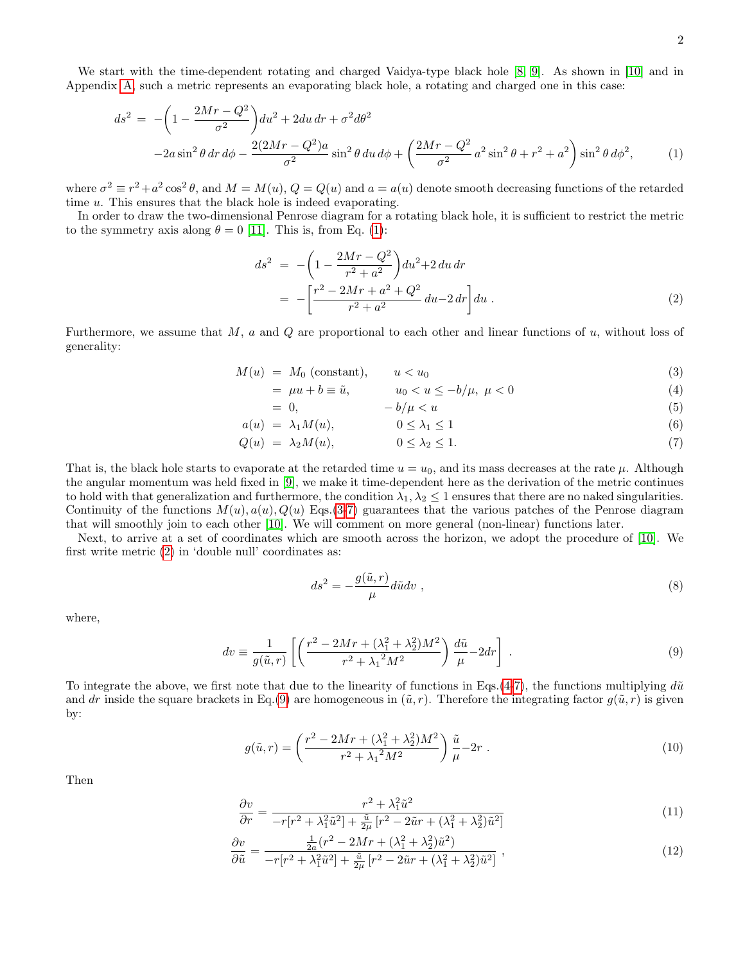We start with the time-dependent rotating and charged Vaidya-type black hole [\[8,](#page-5-2) [9\]](#page-5-3). As shown in [\[10\]](#page-5-4) and in Appendix [A,](#page-5-5) such a metric represents an evaporating black hole, a rotating and charged one in this case:

<span id="page-1-0"></span>
$$
ds^{2} = -\left(1 - \frac{2Mr - Q^{2}}{\sigma^{2}}\right)du^{2} + 2du dr + \sigma^{2}d\theta^{2}
$$

$$
-2a\sin^{2}\theta dr d\phi - \frac{2(2Mr - Q^{2})a}{\sigma^{2}}\sin^{2}\theta du d\phi + \left(\frac{2Mr - Q^{2}}{\sigma^{2}}a^{2}\sin^{2}\theta + r^{2} + a^{2}\right)\sin^{2}\theta d\phi^{2}, \tag{1}
$$

where  $\sigma^2 \equiv r^2 + a^2 \cos^2 \theta$ , and  $M = M(u)$ ,  $Q = Q(u)$  and  $a = a(u)$  denote smooth decreasing functions of the retarded time u. This ensures that the black hole is indeed evaporating.

In order to draw the two-dimensional Penrose diagram for a rotating black hole, it is sufficient to restrict the metric to the symmetry axis along  $\theta = 0$  [\[11\]](#page-5-6). This is, from Eq. [\(1\)](#page-1-0):

<span id="page-1-2"></span>
$$
ds^{2} = -\left(1 - \frac{2Mr - Q^{2}}{r^{2} + a^{2}}\right)du^{2} + 2 du dr
$$
  
= 
$$
-\left[\frac{r^{2} - 2Mr + a^{2} + Q^{2}}{r^{2} + a^{2}} du - 2 dr\right] du .
$$
 (2)

Furthermore, we assume that  $M$ ,  $a$  and  $Q$  are proportional to each other and linear functions of  $u$ , without loss of generality:

<span id="page-1-1"></span>
$$
M(u) = M_0 \text{ (constant)}, \qquad u < u_0 \tag{3}
$$

$$
= \mu u + b \equiv \tilde{u}, \qquad u_0 < u \le -b/\mu, \ \mu < 0 \tag{4}
$$

$$
= 0, \qquad \qquad -b/\mu < u \tag{5}
$$

$$
a(u) = \lambda_1 M(u), \qquad 0 \le \lambda_1 \le 1 \tag{6}
$$

$$
Q(u) = \lambda_2 M(u), \qquad 0 \le \lambda_2 \le 1. \tag{7}
$$

That is, the black hole starts to evaporate at the retarded time  $u = u_0$ , and its mass decreases at the rate  $\mu$ . Although the angular momentum was held fixed in [\[9\]](#page-5-3), we make it time-dependent here as the derivation of the metric continues to hold with that generalization and furthermore, the condition  $\lambda_1, \lambda_2 \leq 1$  ensures that there are no naked singularities. Continuity of the functions  $M(u)$ ,  $a(u)$ ,  $Q(u)$  Eqs.[\(3-7\)](#page-1-1) guarantees that the various patches of the Penrose diagram that will smoothly join to each other [\[10\]](#page-5-4). We will comment on more general (non-linear) functions later.

Next, to arrive at a set of coordinates which are smooth across the horizon, we adopt the procedure of [\[10\]](#page-5-4). We first write metric [\(2\)](#page-1-2) in 'double null' coordinates as:

$$
ds^2 = -\frac{g(\tilde{u},r)}{\mu}d\tilde{u}dv\tag{8}
$$

where,

<span id="page-1-3"></span>
$$
dv = \frac{1}{g(\tilde{u}, r)} \left[ \left( \frac{r^2 - 2Mr + (\lambda_1^2 + \lambda_2^2)M^2}{r^2 + \lambda_1^2 M^2} \right) \frac{d\tilde{u}}{\mu} - 2dr \right] \ . \tag{9}
$$

To integrate the above, we first note that due to the linearity of functions in Eqs.[\(4-7\)](#page-1-1), the functions multiplying  $d\tilde{u}$ and dr inside the square brackets in Eq.[\(9\)](#page-1-3) are homogeneous in  $(\tilde{u}, r)$ . Therefore the integrating factor  $g(\tilde{u}, r)$  is given by:

$$
g(\tilde{u},r) = \left(\frac{r^2 - 2Mr + (\lambda_1^2 + \lambda_2^2)M^2}{r^2 + \lambda_1^2 M^2}\right)\frac{\tilde{u}}{\mu} - 2r \tag{10}
$$

Then

<span id="page-1-4"></span>
$$
\frac{\partial v}{\partial r} = \frac{r^2 + \lambda_1^2 \tilde{u}^2}{-r[r^2 + \lambda_1^2 \tilde{u}^2] + \frac{\tilde{u}}{2\mu} [r^2 - 2\tilde{u}r + (\lambda_1^2 + \lambda_2^2)\tilde{u}^2]}
$$
(11)

$$
\frac{\partial v}{\partial \tilde{u}} = \frac{\frac{1}{2a}(r^2 - 2Mr + (\lambda_1^2 + \lambda_2^2)\tilde{u}^2)}{-r[r^2 + \lambda_1^2\tilde{u}^2] + \frac{\tilde{u}}{2\mu}[r^2 - 2\tilde{u}r + (\lambda_1^2 + \lambda_2^2)\tilde{u}^2]},
$$
\n(12)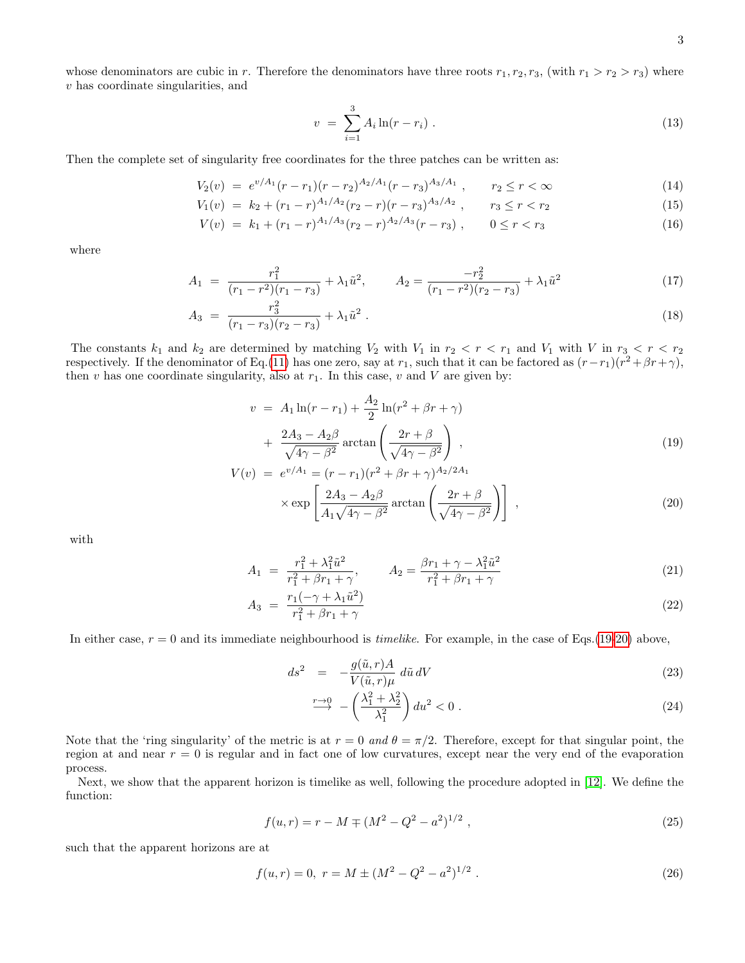$$
v = \sum_{i=1}^{3} A_i \ln(r - r_i) \tag{13}
$$

Then the complete set of singularity free coordinates for the three patches can be written as:

$$
V_2(v) = e^{v/A_1}(r - r_1)(r - r_2)^{A_2/A_1}(r - r_3)^{A_3/A_1}, \qquad r_2 \le r < \infty
$$
\n
$$
V_2(v) = V_2 + (r_1 - r_1)^{A_1/A_2}(r_2 - r)(r - r_2)^{A_3/A_2}, \qquad r_2 \le r < r_2
$$
\n
$$
(15)
$$

$$
V_1(v) = k_2 + (r_1 - r)^{A_1/A_2}(r_2 - r)(r - r_3)^{A_3/A_2}, \qquad r_3 \le r < r_2 \tag{15}
$$

$$
V(v) = k_1 + (r_1 - r)^{A_1/A_3}(r_2 - r)^{A_2/A_3}(r - r_3), \qquad 0 \le r < r_3 \tag{16}
$$

where

$$
A_1 = \frac{r_1^2}{(r_1 - r^2)(r_1 - r_3)} + \lambda_1 \tilde{u}^2, \qquad A_2 = \frac{-r_2^2}{(r_1 - r^2)(r_2 - r_3)} + \lambda_1 \tilde{u}^2
$$
\n(17)

$$
A_3 = \frac{r_3^2}{(r_1 - r_3)(r_2 - r_3)} + \lambda_1 \tilde{u}^2 \ . \tag{18}
$$

The constants  $k_1$  and  $k_2$  are determined by matching  $V_2$  with  $V_1$  in  $r_2 < r < r_1$  and  $V_1$  with V in  $r_3 < r < r_2$ respectively. If the denominator of Eq.[\(11\)](#page-1-4) has one zero, say at  $r_1$ , such that it can be factored as  $(r-r_1)(r^2+\beta r+\gamma)$ , then  $v$  has one coordinate singularity, also at  $r_1$ . In this case,  $v$  and  $V$  are given by:

<span id="page-2-0"></span>
$$
v = A_1 \ln(r - r_1) + \frac{A_2}{2} \ln(r^2 + \beta r + \gamma)
$$
  
+ 
$$
\frac{2A_3 - A_2 \beta}{\sqrt{4\gamma - \beta^2}} \arctan\left(\frac{2r + \beta}{\sqrt{4\gamma - \beta^2}}\right),
$$
  
(19)  

$$
v = e^{v/A_1} - (r - r_1)(r^2 + \beta r + \gamma)^{A_2/2A_1}
$$

$$
V(v) = e^{v/A_1} = (r - r_1)(r^2 + \beta r + \gamma)^{A_2/2A_1}
$$

$$
\times \exp\left[\frac{2A_3 - A_2\beta}{A_1\sqrt{4\gamma - \beta^2}}\arctan\left(\frac{2r + \beta}{\sqrt{4\gamma - \beta^2}}\right)\right],
$$
(20)

with

$$
A_1 = \frac{r_1^2 + \lambda_1^2 \tilde{u}^2}{r_1^2 + \beta r_1 + \gamma}, \qquad A_2 = \frac{\beta r_1 + \gamma - \lambda_1^2 \tilde{u}^2}{r_1^2 + \beta r_1 + \gamma}
$$
(21)

$$
A_3 = \frac{r_1(-\gamma + \lambda_1 \tilde{u}^2)}{r_1^2 + \beta r_1 + \gamma}
$$
\n(22)

In either case,  $r = 0$  and its immediate neighbourhood is *timelike*. For example, in the case of Eqs.[\(19-20\)](#page-2-0) above,

<span id="page-2-1"></span>
$$
ds^2 = -\frac{g(\tilde{u}, r)A}{V(\tilde{u}, r)\mu} d\tilde{u} dV
$$
\n(23)

$$
\stackrel{r \to 0}{\longrightarrow} -\left(\frac{\lambda_1^2 + \lambda_2^2}{\lambda_1^2}\right) du^2 < 0 \tag{24}
$$

Note that the 'ring singularity' of the metric is at  $r = 0$  and  $\theta = \pi/2$ . Therefore, except for that singular point, the region at and near  $r = 0$  is regular and in fact one of low curvatures, except near the very end of the evaporation process.

Next, we show that the apparent horizon is timelike as well, following the procedure adopted in [\[12\]](#page-5-7). We define the function:

$$
f(u,r) = r - M \mp (M^2 - Q^2 - a^2)^{1/2},
$$
\n(25)

such that the apparent horizons are at

$$
f(u,r) = 0, r = M \pm (M^2 - Q^2 - a^2)^{1/2}.
$$
 (26)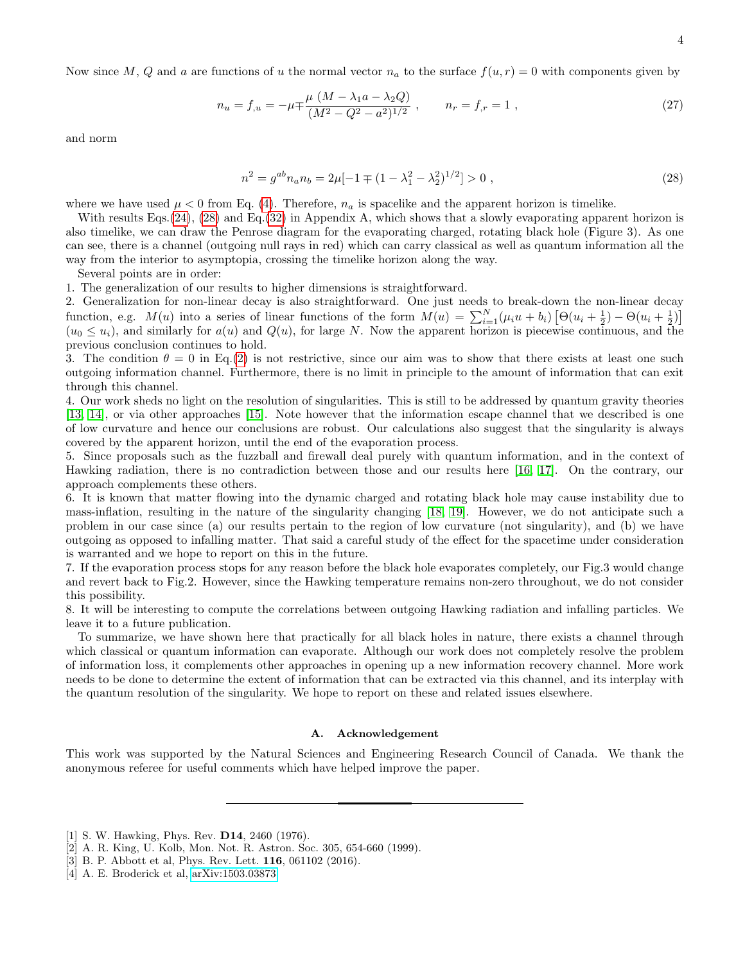Now since M, Q and a are functions of u the normal vector  $n_a$  to the surface  $f(u, r) = 0$  with components given by

$$
n_u = f_{,u} = -\mu \mp \frac{\mu (M - \lambda_1 a - \lambda_2 Q)}{(M^2 - Q^2 - a^2)^{1/2}}, \qquad n_r = f_{,r} = 1,
$$
\n(27)

and norm

<span id="page-3-4"></span>
$$
n^{2} = g^{ab}n_{a}n_{b} = 2\mu[-1 \pm (1 - \lambda_{1}^{2} - \lambda_{2}^{2})^{1/2}] > 0 ,
$$
\n(28)

where we have used  $\mu < 0$  from Eq. [\(4\)](#page-1-1). Therefore,  $n_a$  is spacelike and the apparent horizon is timelike.

With results Eqs. [\(24\)](#page-2-1), [\(28\)](#page-3-4) and Eq. [\(32\)](#page-6-0) in Appendix A, which shows that a slowly evaporating apparent horizon is also timelike, we can draw the Penrose diagram for the evaporating charged, rotating black hole (Figure 3). As one can see, there is a channel (outgoing null rays in red) which can carry classical as well as quantum information all the way from the interior to asymptopia, crossing the timelike horizon along the way.

Several points are in order:

1. The generalization of our results to higher dimensions is straightforward.

2. Generalization for non-linear decay is also straightforward. One just needs to break-down the non-linear decay function, e.g.  $M(u)$  into a series of linear functions of the form  $M(u) = \sum_{i=1}^{N} (\mu_i u + b_i) [\Theta(u_i + \frac{1}{2}) - \Theta(u_i + \frac{1}{2})]$  $(u_0 \leq u_i)$ , and similarly for  $a(u)$  and  $Q(u)$ , for large N. Now the apparent horizon is piecewise continuous, and the previous conclusion continues to hold.

3. The condition  $\theta = 0$  in Eq.[\(2\)](#page-1-2) is not restrictive, since our aim was to show that there exists at least one such outgoing information channel. Furthermore, there is no limit in principle to the amount of information that can exit through this channel.

4. Our work sheds no light on the resolution of singularities. This is still to be addressed by quantum gravity theories [\[13,](#page-5-8) [14\]](#page-5-9), or via other approaches [\[15\]](#page-5-10). Note however that the information escape channel that we described is one of low curvature and hence our conclusions are robust. Our calculations also suggest that the singularity is always covered by the apparent horizon, until the end of the evaporation process.

5. Since proposals such as the fuzzball and firewall deal purely with quantum information, and in the context of Hawking radiation, there is no contradiction between those and our results here [\[16,](#page-5-11) [17\]](#page-5-12). On the contrary, our approach complements these others.

6. It is known that matter flowing into the dynamic charged and rotating black hole may cause instability due to mass-inflation, resulting in the nature of the singularity changing [\[18,](#page-5-13) [19\]](#page-5-14). However, we do not anticipate such a problem in our case since (a) our results pertain to the region of low curvature (not singularity), and (b) we have outgoing as opposed to infalling matter. That said a careful study of the effect for the spacetime under consideration is warranted and we hope to report on this in the future.

7. If the evaporation process stops for any reason before the black hole evaporates completely, our Fig.3 would change and revert back to Fig.2. However, since the Hawking temperature remains non-zero throughout, we do not consider this possibility.

8. It will be interesting to compute the correlations between outgoing Hawking radiation and infalling particles. We leave it to a future publication.

To summarize, we have shown here that practically for all black holes in nature, there exists a channel through which classical or quantum information can evaporate. Although our work does not completely resolve the problem of information loss, it complements other approaches in opening up a new information recovery channel. More work needs to be done to determine the extent of information that can be extracted via this channel, and its interplay with the quantum resolution of the singularity. We hope to report on these and related issues elsewhere.

#### A. Acknowledgement

This work was supported by the Natural Sciences and Engineering Research Council of Canada. We thank the anonymous referee for useful comments which have helped improve the paper.

- <span id="page-3-0"></span>[1] S. W. Hawking, Phys. Rev. D14, 2460 (1976).
- <span id="page-3-1"></span>[2] A. R. King, U. Kolb, Mon. Not. R. Astron. Soc. 305, 654-660 (1999).
- <span id="page-3-2"></span>[3] B. P. Abbott et al, Phys. Rev. Lett. 116, 061102 (2016).
- <span id="page-3-3"></span>[4] A. E. Broderick et al, [arXiv:1503.03873.](http://arxiv.org/abs/1503.03873)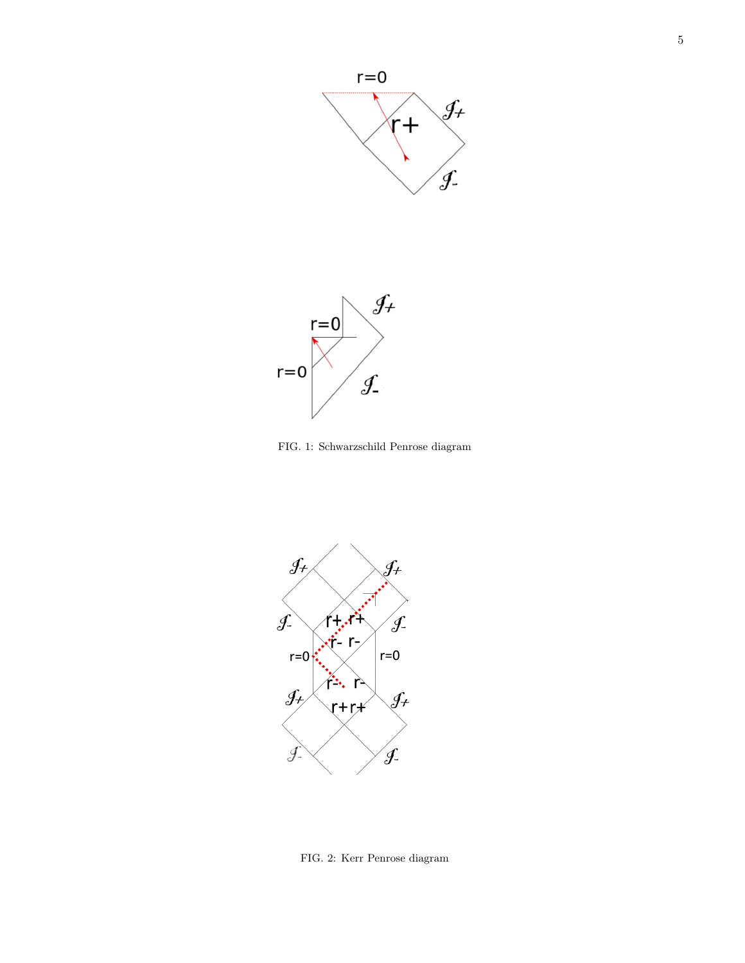



FIG. 1: Schwarzschild Penrose diagram



FIG. 2: Kerr Penrose diagram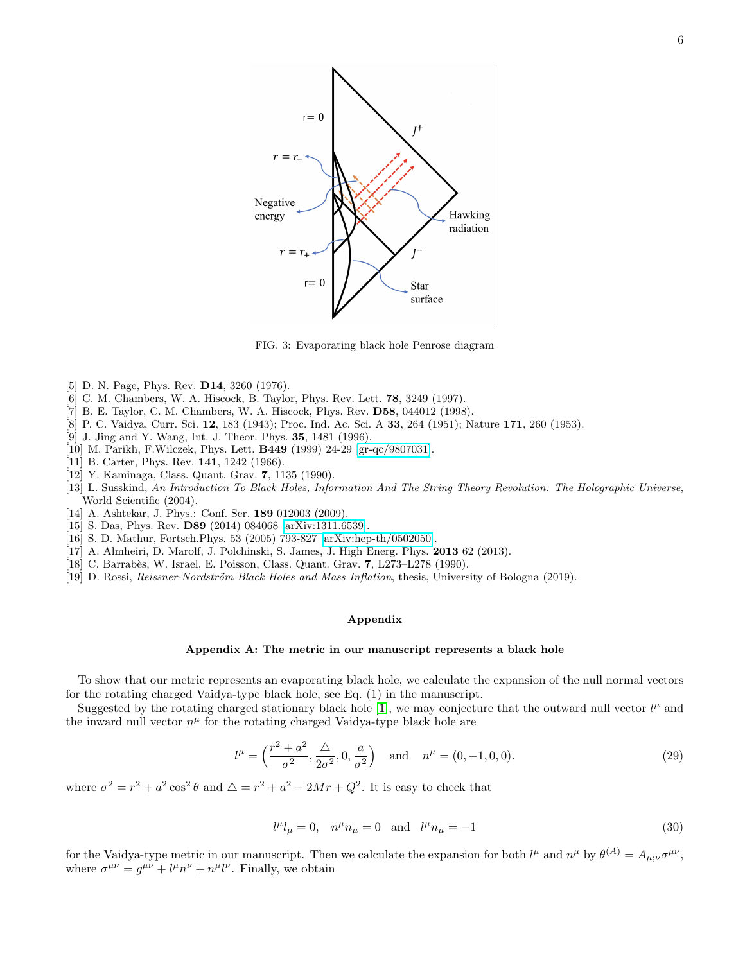

FIG. 3: Evaporating black hole Penrose diagram

- <span id="page-5-0"></span>[5] D. N. Page, Phys. Rev. **D14**, 3260 (1976).
- [6] C. M. Chambers, W. A. Hiscock, B. Taylor, Phys. Rev. Lett. 78, 3249 (1997).
- <span id="page-5-1"></span>[7] B. E. Taylor, C. M. Chambers, W. A. Hiscock, Phys. Rev. D58, 044012 (1998).
- <span id="page-5-2"></span>[8] P. C. Vaidya, Curr. Sci. 12, 183 (1943); Proc. Ind. Ac. Sci. A 33, 264 (1951); Nature 171, 260 (1953).
- <span id="page-5-3"></span>[9] J. Jing and Y. Wang, Int. J. Theor. Phys. 35, 1481 (1996).
- <span id="page-5-4"></span>[10] M. Parikh, F.Wilczek, Phys. Lett. B449 (1999) 24-29 [\[gr-qc/9807031\]](http://arxiv.org/abs/gr-qc/9807031).
- <span id="page-5-6"></span>[11] B. Carter, Phys. Rev. **141**, 1242 (1966).
- <span id="page-5-7"></span>[12] Y. Kaminaga, Class. Quant. Grav. 7, 1135 (1990).
- <span id="page-5-8"></span>[13] L. Susskind, An Introduction To Black Holes, Information And The String Theory Revolution: The Holographic Universe, World Scientific (2004).
- <span id="page-5-9"></span>[14] A. Ashtekar, J. Phys.: Conf. Ser. 189 012003 (2009).
- <span id="page-5-10"></span>[15] S. Das, Phys. Rev. D89 (2014) 084068 [\[arXiv:1311.6539\]](http://arxiv.org/abs/1311.6539).
- <span id="page-5-11"></span>[16] S. D. Mathur, Fortsch.Phys. 53 (2005) 793-827 [\[arXiv:hep-th/0502050\]](http://arxiv.org/abs/hep-th/0502050).
- <span id="page-5-12"></span>[17] A. Almheiri, D. Marolf, J. Polchinski, S. James, J. High Energ. Phys. 2013 62 (2013).
- <span id="page-5-13"></span>[18] C. Barrab`es, W. Israel, E. Poisson, Class. Quant. Grav. 7, L273–L278 (1990).
- <span id="page-5-14"></span>[19] D. Rossi, *Reissner-Nordström Black Holes and Mass Inflation*, thesis, University of Bologna (2019).

## <span id="page-5-5"></span>Appendix

#### Appendix A: The metric in our manuscript represents a black hole

To show that our metric represents an evaporating black hole, we calculate the expansion of the null normal vectors for the rotating charged Vaidya-type black hole, see Eq. (1) in the manuscript.

Suggested by the rotating charged stationary black hole [\[1\]](#page-6-1), we may conjecture that the outward null vector  $l^{\mu}$  and the inward null vector  $n^{\mu}$  for the rotating charged Vaidya-type black hole are

$$
l^{\mu} = \left(\frac{r^2 + a^2}{\sigma^2}, \frac{\Delta}{2\sigma^2}, 0, \frac{a}{\sigma^2}\right) \quad \text{and} \quad n^{\mu} = (0, -1, 0, 0). \tag{29}
$$

where  $\sigma^2 = r^2 + a^2 \cos^2 \theta$  and  $\Delta = r^2 + a^2 - 2Mr + Q^2$ . It is easy to check that

$$
l^{\mu}l_{\mu} = 0, \quad n^{\mu}n_{\mu} = 0 \quad \text{and} \quad l^{\mu}n_{\mu} = -1 \tag{30}
$$

for the Vaidya-type metric in our manuscript. Then we calculate the expansion for both  $l^{\mu}$  and  $n^{\mu}$  by  $\theta^{(A)} = A_{\mu;\nu} \sigma^{\mu\nu}$ , where  $\sigma^{\mu\nu} = g^{\mu\nu} + l^{\mu}n^{\nu} + n^{\mu}l^{\nu}$ . Finally, we obtain